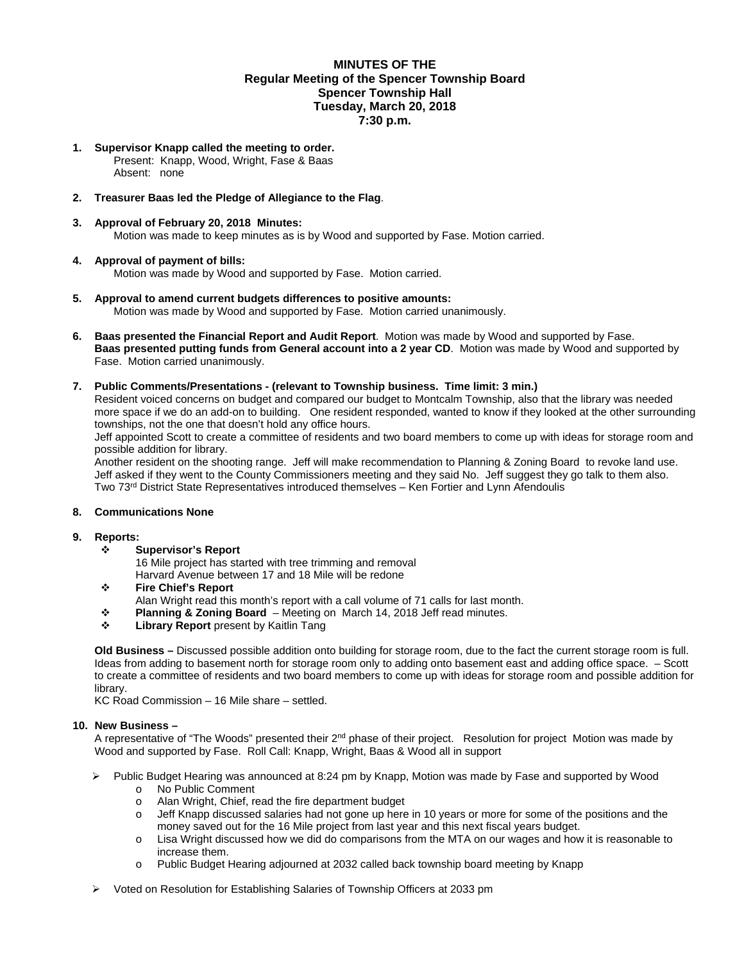#### **MINUTES OF THE Regular Meeting of the Spencer Township Board Spencer Township Hall Tuesday, March 20, 2018 7:30 p.m.**

**1. Supervisor Knapp called the meeting to order.**  Present: Knapp, Wood, Wright, Fase & Baas

Absent: none

# **2. Treasurer Baas led the Pledge of Allegiance to the Flag**.

**3. Approval of February 20, 2018 Minutes:**  Motion was made to keep minutes as is by Wood and supported by Fase. Motion carried.

# **4. Approval of payment of bills:**

Motion was made by Wood and supported by Fase. Motion carried.

- **5. Approval to amend current budgets differences to positive amounts:**  Motion was made by Wood and supported by Fase. Motion carried unanimously.
- **6. Baas presented the Financial Report and Audit Report**. Motion was made by Wood and supported by Fase. **Baas presented putting funds from General account into a 2 year CD**. Motion was made by Wood and supported by Fase. Motion carried unanimously.

#### **7. Public Comments/Presentations - (relevant to Township business. Time limit: 3 min.)**

Resident voiced concerns on budget and compared our budget to Montcalm Township, also that the library was needed more space if we do an add-on to building. One resident responded, wanted to know if they looked at the other surrounding townships, not the one that doesn't hold any office hours.

Jeff appointed Scott to create a committee of residents and two board members to come up with ideas for storage room and possible addition for library.

Another resident on the shooting range. Jeff will make recommendation to Planning & Zoning Board to revoke land use. Jeff asked if they went to the County Commissioners meeting and they said No. Jeff suggest they go talk to them also. Two 73rd District State Representatives introduced themselves – Ken Fortier and Lynn Afendoulis

# **8. Communications None**

# **9. Reports:**

- **Supervisor's Report** 
	- 16 Mile project has started with tree trimming and removal

Harvard Avenue between 17 and 18 Mile will be redone

- **Fire Chief's Report** 
	- Alan Wright read this month's report with a call volume of 71 calls for last month.
- **Planning & Zoning Board**  Meeting on March 14, 2018 Jeff read minutes.
- **Library Report** present by Kaitlin Tang

**Old Business –** Discussed possible addition onto building for storage room, due to the fact the current storage room is full. Ideas from adding to basement north for storage room only to adding onto basement east and adding office space. – Scott to create a committee of residents and two board members to come up with ideas for storage room and possible addition for library.

KC Road Commission – 16 Mile share – settled.

# **10. New Business –**

A representative of "The Woods" presented their  $2^{nd}$  phase of their project. Resolution for project Motion was made by Wood and supported by Fase. Roll Call: Knapp, Wright, Baas & Wood all in support

- $\triangleright$  Public Budget Hearing was announced at 8:24 pm by Knapp, Motion was made by Fase and supported by Wood
	- o No Public Comment
	- o Alan Wright, Chief, read the fire department budget
	- o Jeff Knapp discussed salaries had not gone up here in 10 years or more for some of the positions and the money saved out for the 16 Mile project from last year and this next fiscal years budget.
	- o Lisa Wright discussed how we did do comparisons from the MTA on our wages and how it is reasonable to increase them.
	- o Public Budget Hearing adjourned at 2032 called back township board meeting by Knapp
- Voted on Resolution for Establishing Salaries of Township Officers at 2033 pm